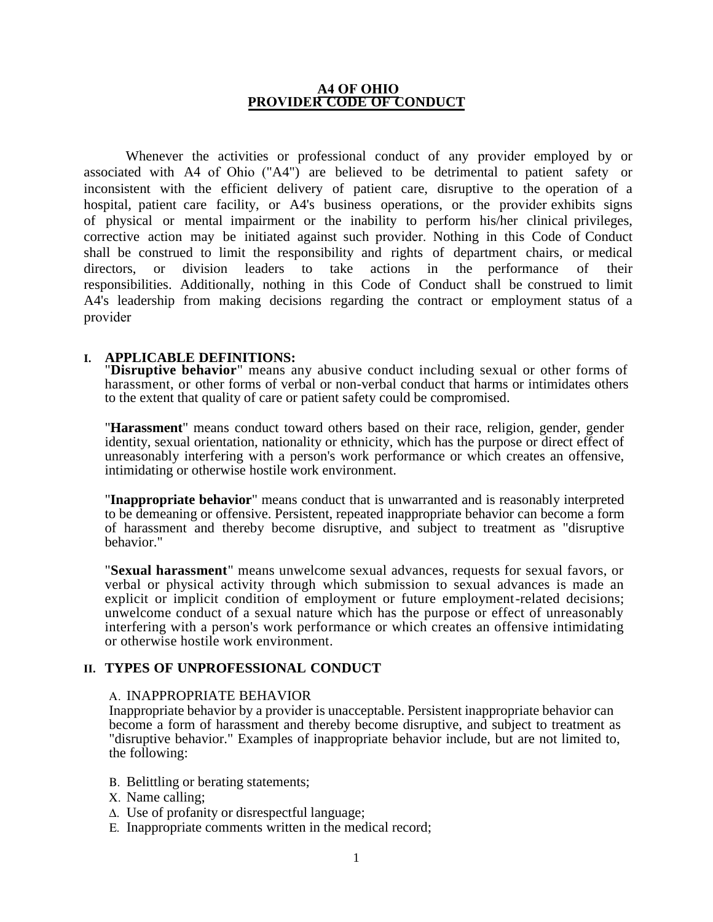#### **A4 OF OHIO PROVIDER CODE OF CONDUCT**

Whenever the activities or professional conduct of any provider employed by or associated with A4 of Ohio ("A4") are believed to be detrimental to patient safety or inconsistent with the efficient delivery of patient care, disruptive to the operation of a hospital, patient care facility, or A4's business operations, or the provider exhibits signs of physical or mental impairment or the inability to perform his/her clinical privileges, corrective action may be initiated against such provider. Nothing in this Code of Conduct shall be construed to limit the responsibility and rights of department chairs, or medical directors, or division leaders to take actions in the performance of their responsibilities. Additionally, nothing in this Code of Conduct shall be construed to limit A4's leadership from making decisions regarding the contract or employment status of a provider

#### **I. APPLICABLE DEFINITIONS:**

"**Disruptive behavior**" means any abusive conduct including sexual or other forms of harassment, or other forms of verbal or non-verbal conduct that harms or intimidates others to the extent that quality of care or patient safety could be compromised.

"**Harassment**" means conduct toward others based on their race, religion, gender, gender identity, sexual orientation, nationality or ethnicity, which has the purpose or direct effect of unreasonably interfering with a person's work performance or which creates an offensive, intimidating or otherwise hostile work environment.

"**Inappropriate behavior**" means conduct that is unwarranted and is reasonably interpreted to be demeaning or offensive. Persistent, repeated inappropriate behavior can become a form of harassment and thereby become disruptive, and subject to treatment as "disruptive behavior."

"**Sexual harassment**" means unwelcome sexual advances, requests for sexual favors, or verbal or physical activity through which submission to sexual advances is made an explicit or implicit condition of employment or future employment-related decisions; unwelcome conduct of a sexual nature which has the purpose or effect of unreasonably interfering with a person's work performance or which creates an offensive intimidating or otherwise hostile work environment.

## **II. TYPES OF UNPROFESSIONAL CONDUCT**

#### Α. INAPPROPRIATE BEHAVIOR

Inappropriate behavior by a provider is unacceptable. Persistent inappropriate behavior can become a form of harassment and thereby become disruptive, and subject to treatment as "disruptive behavior." Examples of inappropriate behavior include, but are not limited to, the following:

- Β. Belittling or berating statements;
- Χ. Name calling;
- ∆. Use of profanity or disrespectful language;
- Ε. Inappropriate comments written in the medical record;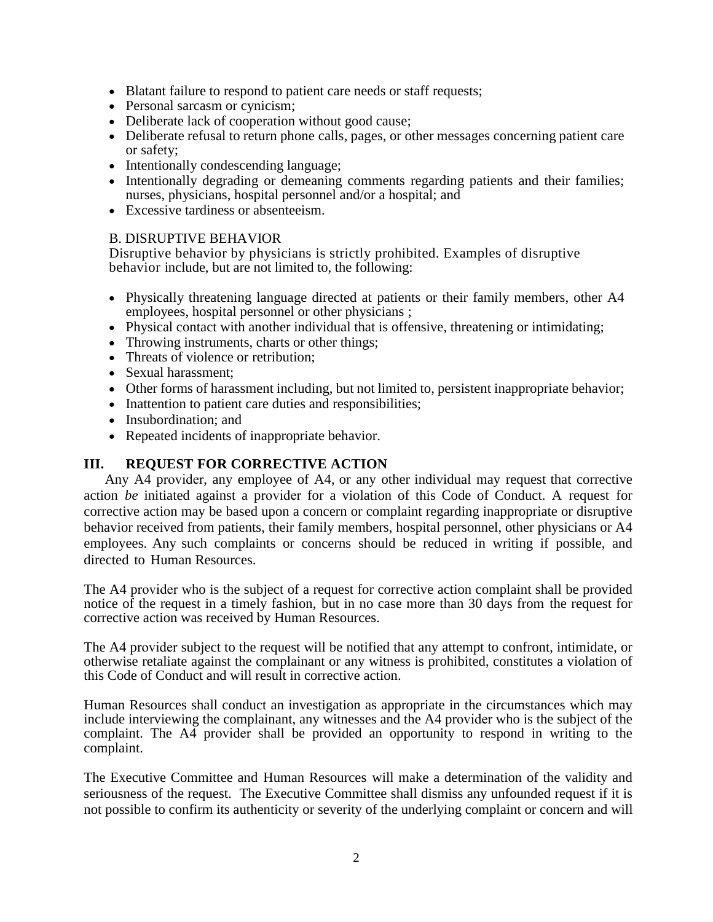- Blatant failure to respond to patient care needs or staff requests;
- Personal sarcasm or cynicism;
- Deliberate lack of cooperation without good cause;
- Deliberate refusal to return phone calls, pages, or other messages concerning patient care or safety;
- Intentionally condescending language;
- Intentionally degrading or demeaning comments regarding patients and their families; nurses, physicians, hospital personnel and/or a hospital; and
- Excessive tardiness or absenteeism.

### B. DISRUPTIVE BEHAVIOR

Disruptive behavior by physicians is strictly prohibited. Examples of disruptive behavior include, but are not limited to, the following:

- Physically threatening language directed at patients or their family members, other A4 employees, hospital personnel or other physicians ;
- Physical contact with another individual that is offensive, threatening or intimidating;
- Throwing instruments, charts or other things;
- Threats of violence or retribution;
- Sexual harassment:
- Other forms of harassment including, but not limited to, persistent inappropriate behavior;
- Inattention to patient care duties and responsibilities;
- Insubordination: and
- Repeated incidents of inappropriate behavior.

## **III. REQUEST FOR CORRECTIVE ACTION**

Any A4 provider, any employee of A4, or any other individual may request that corrective action *be* initiated against a provider for a violation of this Code of Conduct. A request for corrective action may be based upon a concern or complaint regarding inappropriate or disruptive behavior received from patients, their family members, hospital personnel, other physicians or A4 employees. Any such complaints or concerns should be reduced in writing if possible, and directed to Human Resources.

The A4 provider who is the subject of a request for corrective action complaint shall be provided notice of the request in a timely fashion, but in no case more than 30 days from the request for corrective action was received by Human Resources.

The A4 provider subject to the request will be notified that any attempt to confront, intimidate, or otherwise retaliate against the complainant or any witness is prohibited, constitutes a violation of this Code of Conduct and will result in corrective action.

Human Resources shall conduct an investigation as appropriate in the circumstances which may include interviewing the complainant, any witnesses and the A4 provider who is the subject of the complaint. The A4 provider shall be provided an opportunity to respond in writing to the complaint.

The Executive Committee and Human Resources will make a determination of the validity and seriousness of the request. The Executive Committee shall dismiss any unfounded request if it is not possible to confirm its authenticity or severity of the underlying complaint or concern and will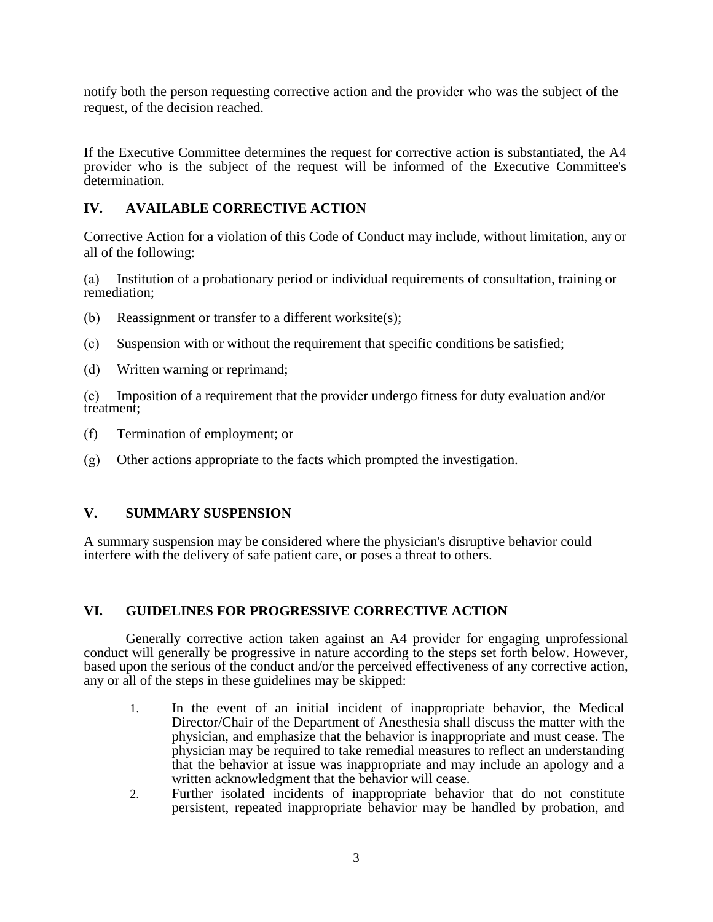notify both the person requesting corrective action and the provider who was the subject of the request, of the decision reached.

If the Executive Committee determines the request for corrective action is substantiated, the A4 provider who is the subject of the request will be informed of the Executive Committee's determination.

# **IV. AVAILABLE CORRECTIVE ACTION**

Corrective Action for a violation of this Code of Conduct may include, without limitation, any or all of the following:

(a) Institution of a probationary period or individual requirements of consultation, training or remediation;

- (b) Reassignment or transfer to a different worksite(s);
- (c) Suspension with or without the requirement that specific conditions be satisfied;
- (d) Written warning or reprimand;

(e) Imposition of a requirement that the provider undergo fitness for duty evaluation and/or treatment;

- (f) Termination of employment; or
- (g) Other actions appropriate to the facts which prompted the investigation.

## **V. SUMMARY SUSPENSION**

A summary suspension may be considered where the physician's disruptive behavior could interfere with the delivery of safe patient care, or poses a threat to others.

## **VI. GUIDELINES FOR PROGRESSIVE CORRECTIVE ACTION**

Generally corrective action taken against an A4 provider for engaging unprofessional conduct will generally be progressive in nature according to the steps set forth below. However, based upon the serious of the conduct and/or the perceived effectiveness of any corrective action, any or all of the steps in these guidelines may be skipped:

- 1. In the event of an initial incident of inappropriate behavior, the Medical Director/Chair of the Department of Anesthesia shall discuss the matter with the physician, and emphasize that the behavior is inappropriate and must cease. The physician may be required to take remedial measures to reflect an understanding that the behavior at issue was inappropriate and may include an apology and a written acknowledgment that the behavior will cease.
- 2. Further isolated incidents of inappropriate behavior that do not constitute persistent, repeated inappropriate behavior may be handled by probation, and